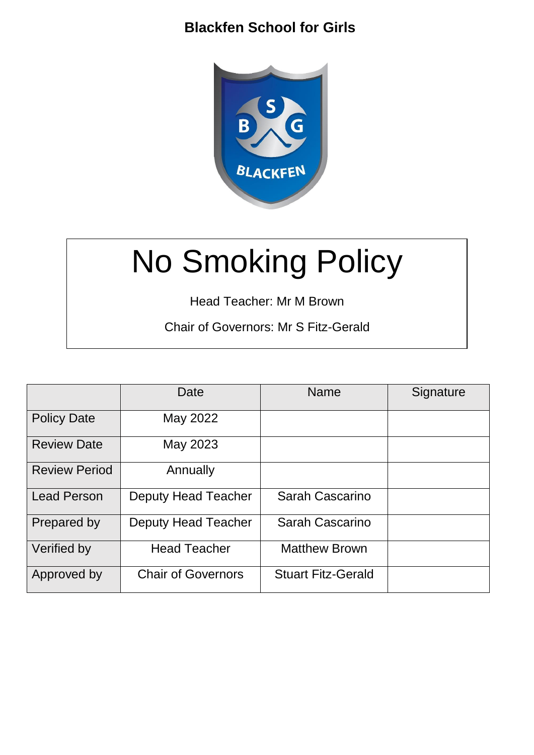# **Blackfen School for Girls**



# No Smoking Policy

Head Teacher: Mr M Brown

Chair of Governors: Mr S Fitz-Gerald

|                      | Date                      | <b>Name</b>               | Signature |
|----------------------|---------------------------|---------------------------|-----------|
| <b>Policy Date</b>   | May 2022                  |                           |           |
| <b>Review Date</b>   | May 2023                  |                           |           |
| <b>Review Period</b> | Annually                  |                           |           |
| <b>Lead Person</b>   | Deputy Head Teacher       | Sarah Cascarino           |           |
| Prepared by          | Deputy Head Teacher       | Sarah Cascarino           |           |
| Verified by          | <b>Head Teacher</b>       | <b>Matthew Brown</b>      |           |
| Approved by          | <b>Chair of Governors</b> | <b>Stuart Fitz-Gerald</b> |           |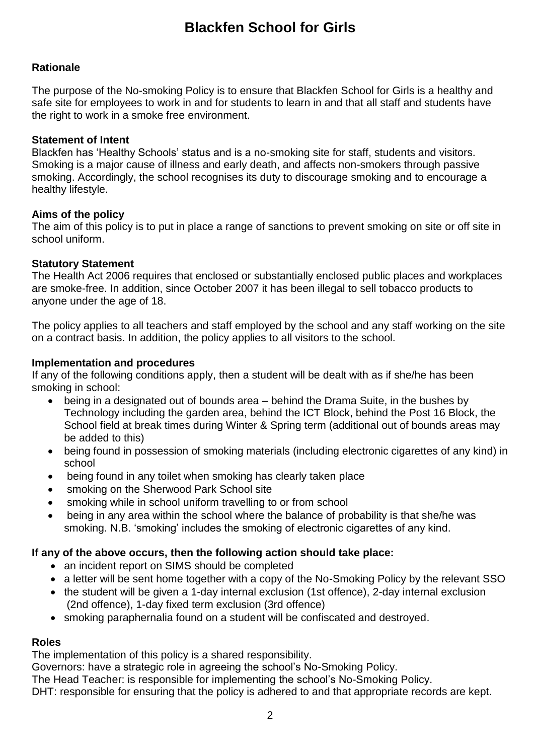# **Blackfen School for Girls**

## **Rationale**

The purpose of the No-smoking Policy is to ensure that Blackfen School for Girls is a healthy and safe site for employees to work in and for students to learn in and that all staff and students have the right to work in a smoke free environment.

#### **Statement of Intent**

Blackfen has 'Healthy Schools' status and is a no-smoking site for staff, students and visitors. Smoking is a major cause of illness and early death, and affects non-smokers through passive smoking. Accordingly, the school recognises its duty to discourage smoking and to encourage a healthy lifestyle.

## **Aims of the policy**

The aim of this policy is to put in place a range of sanctions to prevent smoking on site or off site in school uniform.

#### **Statutory Statement**

The Health Act 2006 requires that enclosed or substantially enclosed public places and workplaces are smoke-free. In addition, since October 2007 it has been illegal to sell tobacco products to anyone under the age of 18.

The policy applies to all teachers and staff employed by the school and any staff working on the site on a contract basis. In addition, the policy applies to all visitors to the school.

## **Implementation and procedures**

If any of the following conditions apply, then a student will be dealt with as if she/he has been smoking in school:

- being in a designated out of bounds area behind the Drama Suite, in the bushes by Technology including the garden area, behind the ICT Block, behind the Post 16 Block, the School field at break times during Winter & Spring term (additional out of bounds areas may be added to this)
- being found in possession of smoking materials (including electronic cigarettes of any kind) in school
- being found in any toilet when smoking has clearly taken place
- smoking on the Sherwood Park School site
- smoking while in school uniform travelling to or from school
- being in any area within the school where the balance of probability is that she/he was smoking. N.B. 'smoking' includes the smoking of electronic cigarettes of any kind.

#### **If any of the above occurs, then the following action should take place:**

- an incident report on SIMS should be completed
- a letter will be sent home together with a copy of the No-Smoking Policy by the relevant SSO
- the student will be given a 1-day internal exclusion (1st offence), 2-day internal exclusion (2nd offence), 1-day fixed term exclusion (3rd offence)
- smoking paraphernalia found on a student will be confiscated and destroyed.

#### **Roles**

The implementation of this policy is a shared responsibility.

Governors: have a strategic role in agreeing the school's No-Smoking Policy.

The Head Teacher: is responsible for implementing the school's No-Smoking Policy.

DHT: responsible for ensuring that the policy is adhered to and that appropriate records are kept.